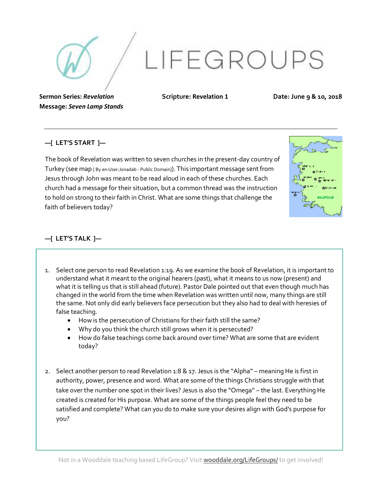LIFEGROUPS

**Sermon Series:** *Revelation* **Message:** *Seven Lamp Stands* **Scripture: Revelation 1**

**Date: June 9 & 10, 2018**

## **—[ LET'S START ]—**

The book of Revelation was written to seven churches in the present-day country of Turkey (see map [ By en:User:Jonadab - Public Domain]). This important message sent from Jesus through John was meant to be read aloud in each of these churches. Each church had a message for their situation, but a common thread was the instruction to hold on strong to their faith in Christ. What are some things that challenge the faith of believers today?



## **—[ LET'S TALK ]—**

- 1. Select one person to read Revelation 1:19. As we examine the book of Revelation, it is important to understand what it meant to the original hearers (past), what it means to us now (present) and what it is telling us that is still ahead (future). Pastor Dale pointed out that even though much has changed in the world from the time when Revelation was written until now, many things are still the same. Not only did early believers face persecution but they also had to deal with heresies of false teaching.
	- How is the persecution of Christians for their faith still the same?
	- Why do you think the church still grows when it is persecuted?
	- How do false teachings come back around over time? What are some that are evident today?
- 2. Select another person to read Revelation 1:8 & 17. Jesus is the "Alpha" meaning He is first in authority, power, presence and word. What are some of the things Christians struggle with that take over the number one spot in their lives? Jesus is also the "Omega" – the last. Everything He created is created for His purpose. What are some of the things people feel they need to be satisfied and complete? What can you do to make sure your desires align with God's purpose for you?